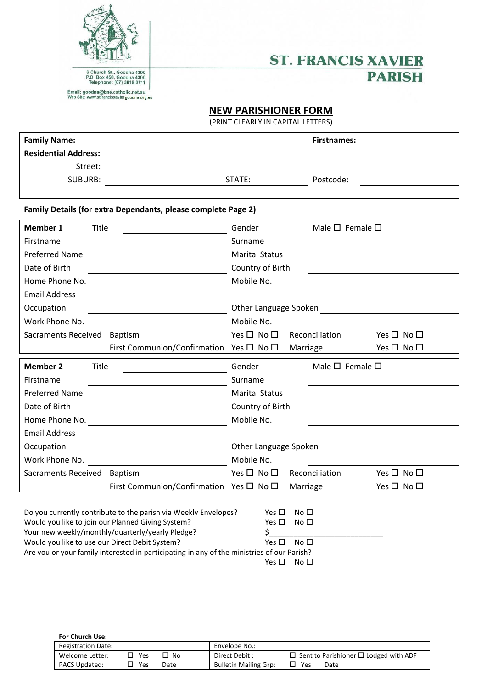



## **NEW PARISHIONER FORM**

(PRINT CLEARLY IN CAPITAL LETTERS)

| <b>Family Name:</b>                                                      |                                                                                                                                                                          |                                                  |                                                       | <b>Firstnames:</b>              |            |  |  |  |
|--------------------------------------------------------------------------|--------------------------------------------------------------------------------------------------------------------------------------------------------------------------|--------------------------------------------------|-------------------------------------------------------|---------------------------------|------------|--|--|--|
| <b>Residential Address:</b>                                              |                                                                                                                                                                          |                                                  |                                                       |                                 |            |  |  |  |
| Street:                                                                  | <u> 1980 - Johann Barn, mars eta bainar eta baina eta baina eta baina eta baina eta baina eta baina eta baina e</u>                                                      |                                                  |                                                       |                                 |            |  |  |  |
| <b>SUBURB:</b>                                                           |                                                                                                                                                                          | STATE:                                           |                                                       | Postcode:                       |            |  |  |  |
|                                                                          |                                                                                                                                                                          |                                                  |                                                       |                                 |            |  |  |  |
| Family Details (for extra Dependants, please complete Page 2)            |                                                                                                                                                                          |                                                  |                                                       |                                 |            |  |  |  |
| <b>Member 1</b><br><b>Title</b>                                          |                                                                                                                                                                          | Gender                                           |                                                       | Male $\square$ Female $\square$ |            |  |  |  |
| Firstname                                                                |                                                                                                                                                                          | Surname                                          |                                                       |                                 |            |  |  |  |
| <b>Preferred Name</b>                                                    |                                                                                                                                                                          | <b>Marital Status</b>                            |                                                       |                                 |            |  |  |  |
| Date of Birth                                                            |                                                                                                                                                                          |                                                  | Country of Birth                                      |                                 |            |  |  |  |
|                                                                          | Home Phone No. <u>______________________________</u>                                                                                                                     | Mobile No.                                       |                                                       |                                 |            |  |  |  |
| <b>Email Address</b>                                                     |                                                                                                                                                                          |                                                  |                                                       |                                 |            |  |  |  |
| Occupation                                                               |                                                                                                                                                                          | Other Language Spoken                            |                                                       |                                 |            |  |  |  |
| Work Phone No.                                                           |                                                                                                                                                                          | Mobile No.                                       |                                                       |                                 |            |  |  |  |
| Sacraments Received Baptism                                              |                                                                                                                                                                          | $Yes \Box No \Box$                               |                                                       | Reconciliation                  | Yes □ No □ |  |  |  |
|                                                                          | First Communion/Confirmation Yes □ No □                                                                                                                                  |                                                  | Marriage                                              |                                 | Yes □ No □ |  |  |  |
| <b>Member 2</b><br><b>Title</b>                                          |                                                                                                                                                                          | Male $\square$ Female $\square$<br>Gender        |                                                       |                                 |            |  |  |  |
| Firstname                                                                |                                                                                                                                                                          | Surname                                          |                                                       |                                 |            |  |  |  |
| <b>Preferred Name</b>                                                    |                                                                                                                                                                          | <b>Marital Status</b>                            |                                                       |                                 |            |  |  |  |
| Date of Birth<br><u> 1989 - Johann Barnett, fransk politik (d. 1989)</u> |                                                                                                                                                                          | Country of Birth                                 |                                                       |                                 |            |  |  |  |
| Home Phone No.                                                           |                                                                                                                                                                          | Mobile No.                                       |                                                       |                                 |            |  |  |  |
| <b>Email Address</b>                                                     |                                                                                                                                                                          |                                                  |                                                       |                                 |            |  |  |  |
| Occupation                                                               | Other Language Spoken<br><u> 1989 - Andrea Andrew Maria (h. 1989).</u>                                                                                                   |                                                  |                                                       |                                 |            |  |  |  |
| Work Phone No.                                                           |                                                                                                                                                                          | Mobile No.                                       |                                                       |                                 |            |  |  |  |
| Sacraments Received Baptism                                              |                                                                                                                                                                          | $Yes \Box No \Box$                               |                                                       | Reconciliation                  | Yes □ No □ |  |  |  |
|                                                                          | First Communion/Confirmation Yes $\Box$ No $\Box$                                                                                                                        |                                                  | Marriage                                              |                                 | Yes □ No □ |  |  |  |
| Would you like to use our Direct Debit System?                           | Do you currently contribute to the parish via Weekly Envelopes?<br>Would you like to join our Planned Giving System?<br>Your new weekly/monthly/quarterly/yearly Pledge? | Yes $\Box$<br>Yes $\Box$<br>\$_<br>Yes $\square$ | No <sub>1</sub><br>No <sub>1</sub><br>No <sub>1</sub> |                                 |            |  |  |  |

Are you or your family interested in participating in any of the ministries of our Parish?

 $Yes \Box No \Box$ 

## **For Church Use:**

| <b>Registration Date:</b> |     |      | Envelope No.:                |                                                   |
|---------------------------|-----|------|------------------------------|---------------------------------------------------|
| Welcome Letter:           | Yes | No   | Direct Debit :               | $\Box$ Sent to Parishioner $\Box$ Lodged with ADF |
| <b>PACS Updated:</b>      | Yes | Date | <b>Bulletin Mailing Grp:</b> | Yes<br>Date                                       |